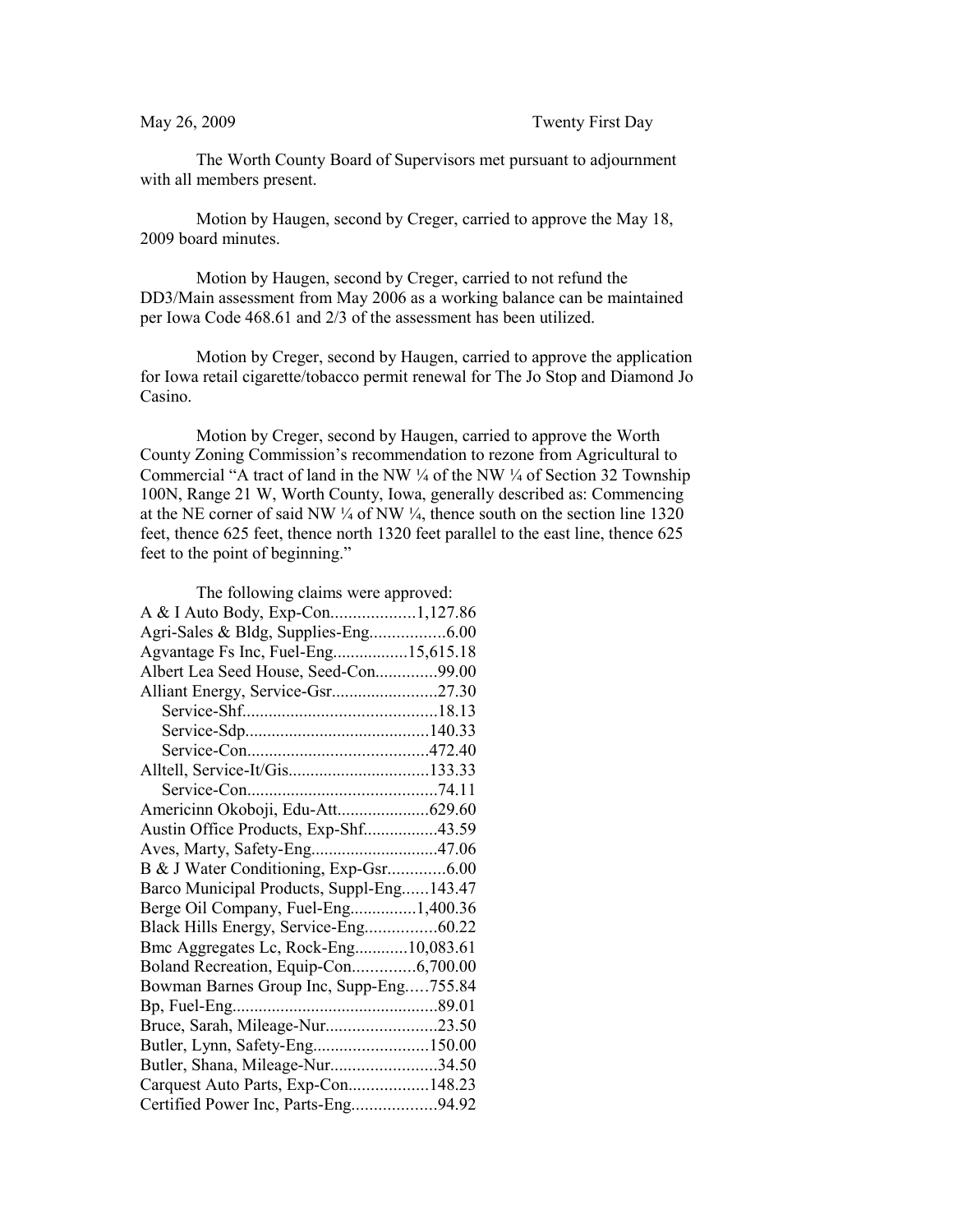The Worth County Board of Supervisors met pursuant to adjournment with all members present.

Motion by Haugen, second by Creger, carried to approve the May 18, 2009 board minutes.

Motion by Haugen, second by Creger, carried to not refund the DD3/Main assessment from May 2006 as a working balance can be maintained per Iowa Code 468.61 and 2/3 of the assessment has been utilized.

Motion by Creger, second by Haugen, carried to approve the application for Iowa retail cigarette/tobacco permit renewal for The Jo Stop and Diamond Jo Casino.

Motion by Creger, second by Haugen, carried to approve the Worth County Zoning Commission's recommendation to rezone from Agricultural to Commercial "A tract of land in the NW  $\frac{1}{4}$  of the NW  $\frac{1}{4}$  of Section 32 Township 100N, Range 21 W, Worth County, Iowa, generally described as: Commencing at the NE corner of said NW  $\frac{1}{4}$  of NW  $\frac{1}{4}$ , thence south on the section line 1320 feet, thence 625 feet, thence north 1320 feet parallel to the east line, thence 625 feet to the point of beginning."

| The following claims were approved:       |  |
|-------------------------------------------|--|
| A & I Auto Body, Exp-Con1,127.86          |  |
|                                           |  |
| Agvantage Fs Inc, Fuel-Eng15,615.18       |  |
| Albert Lea Seed House, Seed-Con99.00      |  |
|                                           |  |
|                                           |  |
|                                           |  |
|                                           |  |
| Alltell, Service-It/Gis133.33             |  |
|                                           |  |
| Americinn Okoboji, Edu-Att629.60          |  |
| Austin Office Products, Exp-Shf43.59      |  |
| Aves, Marty, Safety-Eng47.06              |  |
| B & J Water Conditioning, Exp-Gsr6.00     |  |
| Barco Municipal Products, Suppl-Eng143.47 |  |
| Berge Oil Company, Fuel-Eng1,400.36       |  |
|                                           |  |
| Bmc Aggregates Lc, Rock-Eng10,083.61      |  |
| Boland Recreation, Equip-Con6,700.00      |  |
| Bowman Barnes Group Inc, Supp-Eng755.84   |  |
|                                           |  |
| Bruce, Sarah, Mileage-Nur23.50            |  |
| Butler, Lynn, Safety-Eng150.00            |  |
| Butler, Shana, Mileage-Nur34.50           |  |
| Carquest Auto Parts, Exp-Con148.23        |  |
| Certified Power Inc, Parts-Eng94.92       |  |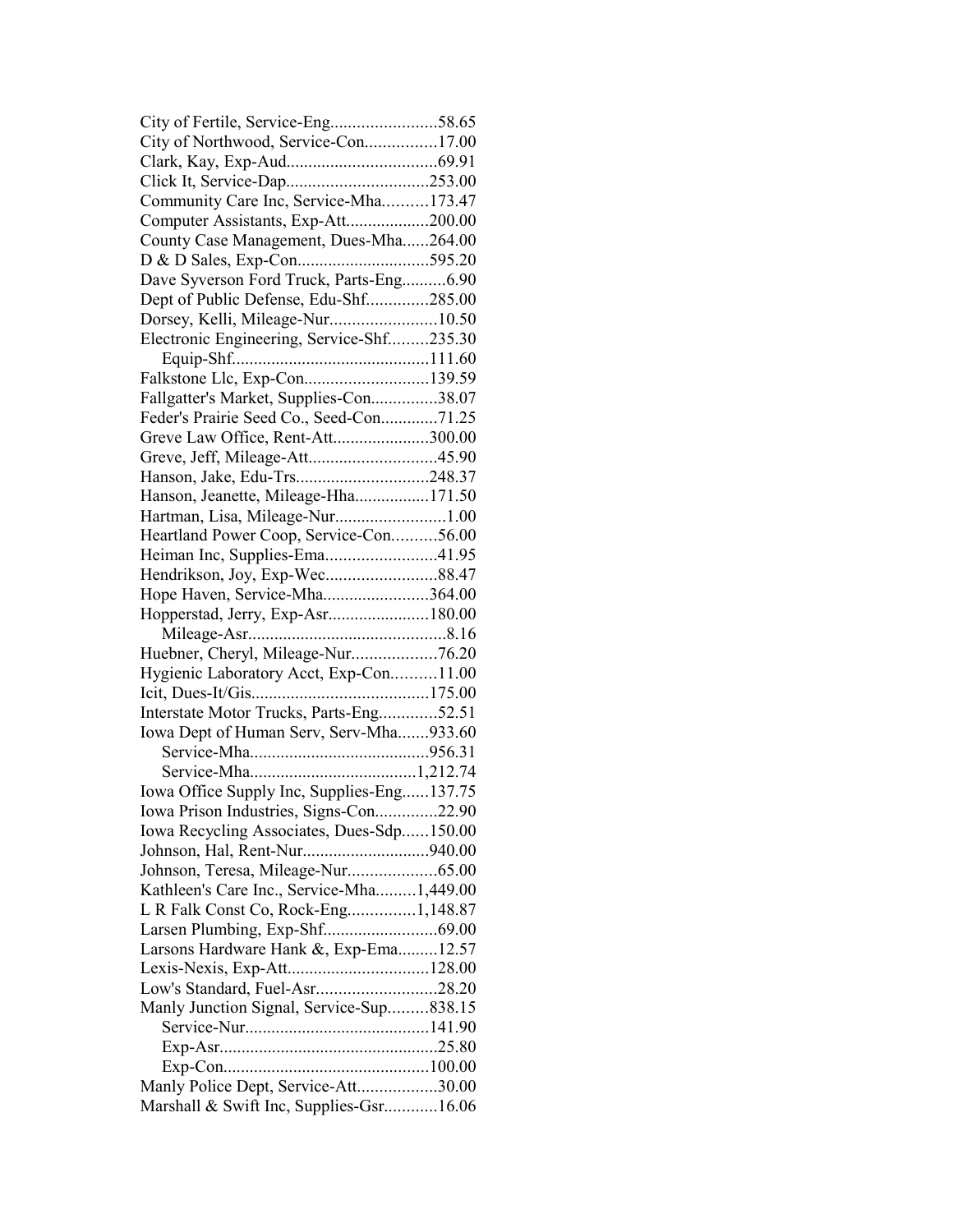| City of Northwood, Service-Con17.00        |  |
|--------------------------------------------|--|
|                                            |  |
|                                            |  |
| Community Care Inc, Service-Mha173.47      |  |
| Computer Assistants, Exp-Att200.00         |  |
| County Case Management, Dues-Mha264.00     |  |
|                                            |  |
| Dave Syverson Ford Truck, Parts-Eng6.90    |  |
| Dept of Public Defense, Edu-Shf285.00      |  |
| Dorsey, Kelli, Mileage-Nur10.50            |  |
| Electronic Engineering, Service-Shf235.30  |  |
|                                            |  |
| Falkstone Llc, Exp-Con139.59               |  |
| Fallgatter's Market, Supplies-Con38.07     |  |
| Feder's Prairie Seed Co., Seed-Con71.25    |  |
| Greve Law Office, Rent-Att300.00           |  |
| Greve, Jeff, Mileage-Att45.90              |  |
|                                            |  |
| Hanson, Jeanette, Mileage-Hha171.50        |  |
| Hartman, Lisa, Mileage-Nur1.00             |  |
| Heartland Power Coop, Service-Con56.00     |  |
| Heiman Inc, Supplies-Ema41.95              |  |
|                                            |  |
| Hope Haven, Service-Mha364.00              |  |
|                                            |  |
|                                            |  |
| Hopperstad, Jerry, Exp-Asr180.00           |  |
|                                            |  |
| Huebner, Cheryl, Mileage-Nur76.20          |  |
| Hygienic Laboratory Acct, Exp-Con11.00     |  |
|                                            |  |
| Interstate Motor Trucks, Parts-Eng52.51    |  |
| Iowa Dept of Human Serv, Serv-Mha933.60    |  |
|                                            |  |
|                                            |  |
| Iowa Office Supply Inc, Supplies-Eng137.75 |  |
| Iowa Prison Industries, Signs-Con22.90     |  |
| Iowa Recycling Associates, Dues-Sdp150.00  |  |
|                                            |  |
| Johnson, Teresa, Mileage-Nur65.00          |  |
| Kathleen's Care Inc., Service-Mha1,449.00  |  |
| L R Falk Const Co, Rock-Eng1,148.87        |  |
|                                            |  |
| Larsons Hardware Hank &, Exp-Ema12.57      |  |
|                                            |  |
| Low's Standard, Fuel-Asr28.20              |  |
| Manly Junction Signal, Service-Sup838.15   |  |
|                                            |  |
|                                            |  |
| Manly Police Dept, Service-Att30.00        |  |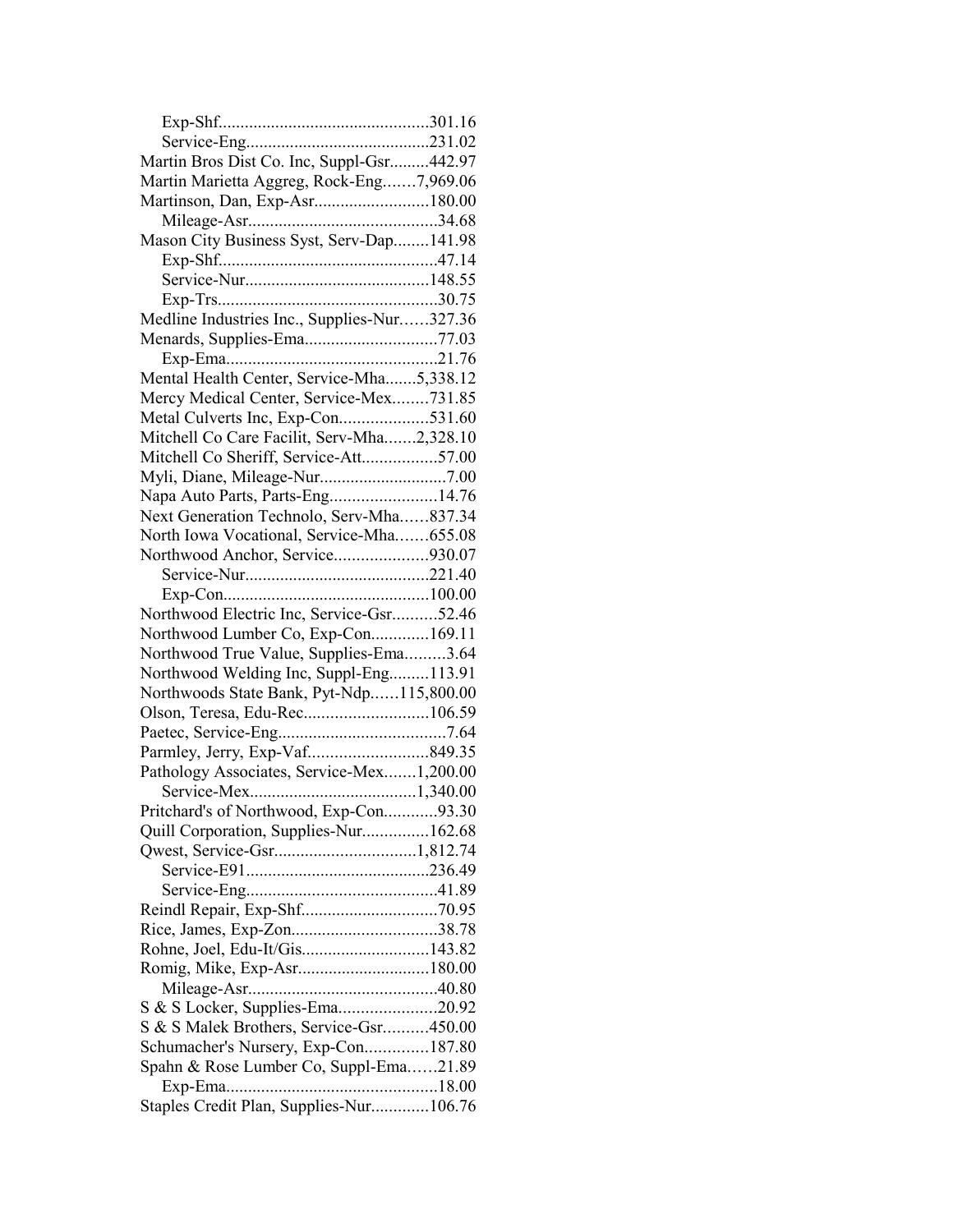| Martin Bros Dist Co. Inc, Suppl-Gsr442.97   |  |
|---------------------------------------------|--|
| Martin Marietta Aggreg, Rock-Eng7,969.06    |  |
| Martinson, Dan, Exp-Asr180.00               |  |
|                                             |  |
| Mason City Business Syst, Serv-Dap141.98    |  |
|                                             |  |
|                                             |  |
|                                             |  |
| Medline Industries Inc., Supplies-Nur327.36 |  |
| Menards, Supplies-Ema77.03                  |  |
|                                             |  |
| Mental Health Center, Service-Mha5,338.12   |  |
| Mercy Medical Center, Service-Mex731.85     |  |
| Metal Culverts Inc, Exp-Con531.60           |  |
| Mitchell Co Care Facilit, Serv-Mha2,328.10  |  |
| Mitchell Co Sheriff, Service-Att57.00       |  |
|                                             |  |
| Napa Auto Parts, Parts-Eng14.76             |  |
| Next Generation Technolo, Serv-Mha837.34    |  |
| North Iowa Vocational, Service-Mha655.08    |  |
| Northwood Anchor, Service930.07             |  |
|                                             |  |
|                                             |  |
| Northwood Electric Inc, Service-Gsr52.46    |  |
| Northwood Lumber Co, Exp-Con169.11          |  |
| Northwood True Value, Supplies-Ema3.64      |  |
| Northwood Welding Inc, Suppl-Eng113.91      |  |
| Northwoods State Bank, Pyt-Ndp115,800.00    |  |
|                                             |  |
|                                             |  |
|                                             |  |
| Pathology Associates, Service-Mex1,200.00   |  |
|                                             |  |
| Pritchard's of Northwood, Exp-Con93.30      |  |
| Quill Corporation, Supplies-Nur162.68       |  |
|                                             |  |
|                                             |  |
|                                             |  |
|                                             |  |
|                                             |  |
| Rohne, Joel, Edu-It/Gis143.82               |  |
| Romig, Mike, Exp-Asr180.00                  |  |
|                                             |  |
| S & S Locker, Supplies-Ema20.92             |  |
| S & S Malek Brothers, Service-Gsr450.00     |  |
| Schumacher's Nursery, Exp-Con187.80         |  |
| Spahn & Rose Lumber Co, Suppl-Ema21.89      |  |
|                                             |  |
| Staples Credit Plan, Supplies-Nur106.76     |  |
|                                             |  |